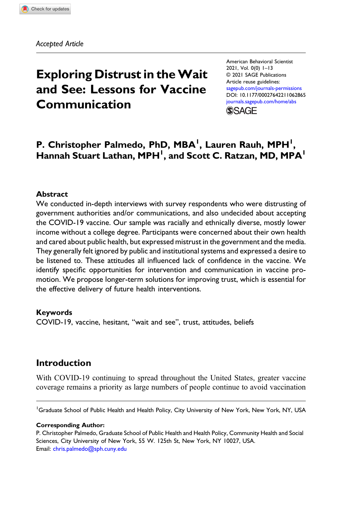Accepted Article

# Exploring Distrust in theWait and See: Lessons for Vaccine Communication

American Behavioral Scientist 2021, Vol. 0(0) 1–13 © 2021 SAGE Publications Article reuse guidelines: [sagepub.com/journals-permissions](https://us.sagepub.com/en-us/journals-permissions) DOI: [10.1177/00027642211062865](https://doi.org/10.1177/00027642211062865) [journals.sagepub.com/home/abs](https://journals.sagepub.com/home/abs) **SSAGE** 

# P. Christopher Palmedo, PhD, MBA<sup>1</sup>, Lauren Rauh, MPH<sup>1</sup>, Hannah Stuart Lathan, MPH<sup>1</sup>, and Scott C. Ratzan, MD, MPA<sup>1</sup>

### Abstract

We conducted in-depth interviews with survey respondents who were distrusting of government authorities and/or communications, and also undecided about accepting the COVID-19 vaccine. Our sample was racially and ethnically diverse, mostly lower income without a college degree. Participants were concerned about their own health and cared about public health, but expressed mistrust in the government and the media. They generally felt ignored by public and institutional systems and expressed a desire to be listened to. These attitudes all influenced lack of confidence in the vaccine. We identify specific opportunities for intervention and communication in vaccine promotion. We propose longer-term solutions for improving trust, which is essential for the effective delivery of future health interventions.

### Keywords

COVID-19, vaccine, hesitant, "wait and see", trust, attitudes, beliefs

# Introduction

With COVID-19 continuing to spread throughout the United States, greater vaccine coverage remains a priority as large numbers of people continue to avoid vaccination

<sup>1</sup>Graduate School of Public Health and Health Policy, City University of New York, New York, NY, USA

#### Corresponding Author:

P. Christopher Palmedo, Graduate School of Public Health and Health Policy, Community Health and Social Sciences, City University of New York, 55 W. 125th St, New York, NY 10027, USA. Email: [chris.palmedo@sph.cuny.edu](mailto:chris.palmedo@sph.cuny.edu)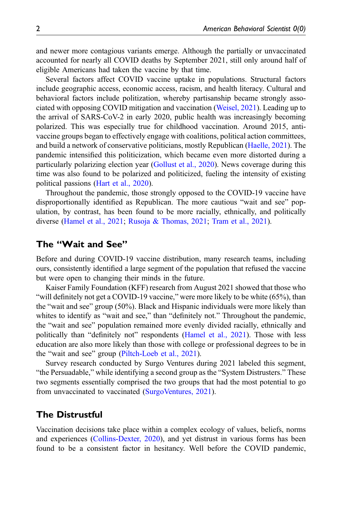and newer more contagious variants emerge. Although the partially or unvaccinated accounted for nearly all COVID deaths by September 2021, still only around half of eligible Americans had taken the vaccine by that time.

Several factors affect COVID vaccine uptake in populations. Structural factors include geographic access, economic access, racism, and health literacy. Cultural and behavioral factors include politization, whereby partisanship became strongly associated with opposing COVID mitigation and vaccination [\(Weisel, 2021](#page-12-0)). Leading up to the arrival of SARS-CoV-2 in early 2020, public health was increasingly becoming polarized. This was especially true for childhood vaccination. Around 2015, antivaccine groups began to effectively engage with coalitions, political action committees, and build a network of conservative politicians, mostly Republican ([Haelle, 2021](#page-11-0)). The pandemic intensified this politicization, which became even more distorted during a particularly polarizing election year ([Gollust et al., 2020\)](#page-11-1). News coverage during this time was also found to be polarized and politicized, fueling the intensity of existing political passions [\(Hart et al., 2020\)](#page-11-2).

Throughout the pandemic, those strongly opposed to the COVID-19 vaccine have disproportionally identified as Republican. The more cautious "wait and see" population, by contrast, has been found to be more racially, ethnically, and politically diverse ([Hamel et al., 2021](#page-11-3); [Rusoja & Thomas, 2021;](#page-11-4) [Tram et al., 2021\)](#page-12-1).

# The "Wait and See"

Before and during COVID-19 vaccine distribution, many research teams, including ours, consistently identified a large segment of the population that refused the vaccine but were open to changing their minds in the future.

Kaiser Family Foundation (KFF) research from August 2021 showed that those who "will definitely not get a COVID-19 vaccine," were more likely to be white (65%), than the "wait and see" group (50%). Black and Hispanic individuals were more likely than whites to identify as "wait and see," than "definitely not." Throughout the pandemic, the "wait and see" population remained more evenly divided racially, ethnically and politically than "definitely not" respondents [\(Hamel et al., 2021](#page-11-3)). Those with less education are also more likely than those with college or professional degrees to be in the "wait and see" group [\(Piltch-Loeb et al., 2021\)](#page-11-5).

Survey research conducted by Surgo Ventures during 2021 labeled this segment, "the Persuadable," while identifying a second group as the "System Distrusters." These two segments essentially comprised the two groups that had the most potential to go from unvaccinated to vaccinated [\(SurgoVentures, 2021](#page-12-2)).

# The Distrustful

Vaccination decisions take place within a complex ecology of values, beliefs, norms and experiences ([Collins-Dexter, 2020](#page-11-6)), and yet distrust in various forms has been found to be a consistent factor in hesitancy. Well before the COVID pandemic,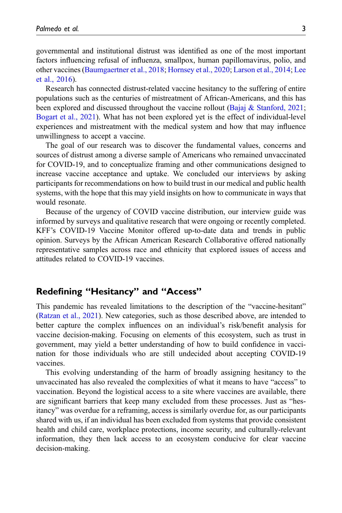governmental and institutional distrust was identified as one of the most important factors influencing refusal of influenza, smallpox, human papillomavirus, polio, and other vaccines ([Baumgaertner et al., 2018](#page-10-0); [Hornsey et al., 2020](#page-11-7); [Larson et al., 2014](#page-11-8); [Lee](#page-11-9) [et al., 2016](#page-11-9)).

Research has connected distrust-related vaccine hesitancy to the suffering of entire populations such as the centuries of mistreatment of African-Americans, and this has been explored and discussed throughout the vaccine rollout ([Bajaj & Stanford, 2021;](#page-10-1) [Bogart et al., 2021](#page-10-2)). What has not been explored yet is the effect of individual-level experiences and mistreatment with the medical system and how that may influence unwillingness to accept a vaccine.

The goal of our research was to discover the fundamental values, concerns and sources of distrust among a diverse sample of Americans who remained unvaccinated for COVID-19, and to conceptualize framing and other communications designed to increase vaccine acceptance and uptake. We concluded our interviews by asking participants for recommendations on how to build trust in our medical and public health systems, with the hope that this may yield insights on how to communicate in ways that would resonate.

Because of the urgency of COVID vaccine distribution, our interview guide was informed by surveys and qualitative research that were ongoing or recently completed. KFF's COVID-19 Vaccine Monitor offered up-to-date data and trends in public opinion. Surveys by the African American Research Collaborative offered nationally representative samples across race and ethnicity that explored issues of access and attitudes related to COVID-19 vaccines.

# Redefining "Hesitancy" and "Access"

This pandemic has revealed limitations to the description of the "vaccine-hesitant" ([Ratzan et al., 2021](#page-11-10)). New categories, such as those described above, are intended to better capture the complex influences on an individual's risk/benefit analysis for vaccine decision-making. Focusing on elements of this ecosystem, such as trust in government, may yield a better understanding of how to build confidence in vaccination for those individuals who are still undecided about accepting COVID-19 vaccines.

This evolving understanding of the harm of broadly assigning hesitancy to the unvaccinated has also revealed the complexities of what it means to have "access" to vaccination. Beyond the logistical access to a site where vaccines are available, there are significant barriers that keep many excluded from these processes. Just as "hesitancy" was overdue for a reframing, access is similarly overdue for, as our participants shared with us, if an individual has been excluded from systems that provide consistent health and child care, workplace protections, income security, and culturally-relevant information, they then lack access to an ecosystem conducive for clear vaccine decision-making.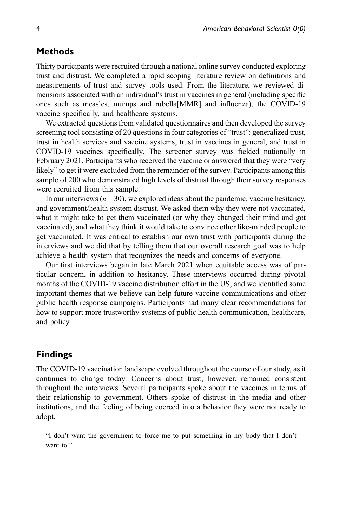# **Methods**

Thirty participants were recruited through a national online survey conducted exploring trust and distrust. We completed a rapid scoping literature review on definitions and measurements of trust and survey tools used. From the literature, we reviewed dimensions associated with an individual's trust in vaccines in general (including specific ones such as measles, mumps and rubella[MMR] and influenza), the COVID-19 vaccine specifically, and healthcare systems.

We extracted questions from validated questionnaires and then developed the survey screening tool consisting of 20 questions in four categories of "trust": generalized trust, trust in health services and vaccine systems, trust in vaccines in general, and trust in COVID-19 vaccines specifically. The screener survey was fielded nationally in February 2021. Participants who received the vaccine or answered that they were "very likely" to get it were excluded from the remainder of the survey. Participants among this sample of 200 who demonstrated high levels of distrust through their survey responses were recruited from this sample.

In our interviews ( $n = 30$ ), we explored ideas about the pandemic, vaccine hesitancy, and government/health system distrust. We asked them why they were not vaccinated, what it might take to get them vaccinated (or why they changed their mind and got vaccinated), and what they think it would take to convince other like-minded people to get vaccinated. It was critical to establish our own trust with participants during the interviews and we did that by telling them that our overall research goal was to help achieve a health system that recognizes the needs and concerns of everyone.

Our first interviews began in late March 2021 when equitable access was of particular concern, in addition to hesitancy. These interviews occurred during pivotal months of the COVID-19 vaccine distribution effort in the US, and we identified some important themes that we believe can help future vaccine communications and other public health response campaigns. Participants had many clear recommendations for how to support more trustworthy systems of public health communication, healthcare, and policy.

# Findings

The COVID-19 vaccination landscape evolved throughout the course of our study, as it continues to change today. Concerns about trust, however, remained consistent throughout the interviews. Several participants spoke about the vaccines in terms of their relationship to government. Others spoke of distrust in the media and other institutions, and the feeling of being coerced into a behavior they were not ready to adopt.

"I don't want the government to force me to put something in my body that I don't want to."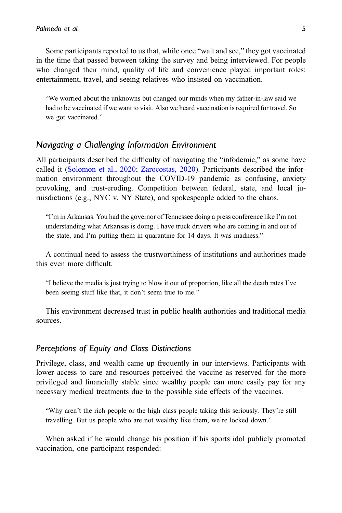Some participants reported to us that, while once "wait and see," they got vaccinated in the time that passed between taking the survey and being interviewed. For people who changed their mind, quality of life and convenience played important roles: entertainment, travel, and seeing relatives who insisted on vaccination.

"We worried about the unknowns but changed our minds when my father-in-law said we had to be vaccinated if we want to visit. Also we heard vaccination is required for travel. So we got vaccinated."

### Navigating a Challenging Information Environment

All participants described the difficulty of navigating the "infodemic," as some have called it [\(Solomon et al., 2020;](#page-12-3) [Zarocostas, 2020\)](#page-12-4). Participants described the information environment throughout the COVID-19 pandemic as confusing, anxiety provoking, and trust-eroding. Competition between federal, state, and local juruisdictions (e.g., NYC v. NY State), and spokespeople added to the chaos.

"I'm in Arkansas. You had the governor of Tennessee doing a press conference like I'm not understanding what Arkansas is doing. I have truck drivers who are coming in and out of the state, and I'm putting them in quarantine for 14 days. It was madness."

A continual need to assess the trustworthiness of institutions and authorities made this even more difficult.

"I believe the media is just trying to blow it out of proportion, like all the death rates I've been seeing stuff like that, it don't seem true to me."

This environment decreased trust in public health authorities and traditional media sources.

### Perceptions of Equity and Class Distinctions

Privilege, class, and wealth came up frequently in our interviews. Participants with lower access to care and resources perceived the vaccine as reserved for the more privileged and financially stable since wealthy people can more easily pay for any necessary medical treatments due to the possible side effects of the vaccines.

"Why aren't the rich people or the high class people taking this seriously. They're still travelling. But us people who are not wealthy like them, we're locked down."

When asked if he would change his position if his sports idol publicly promoted vaccination, one participant responded: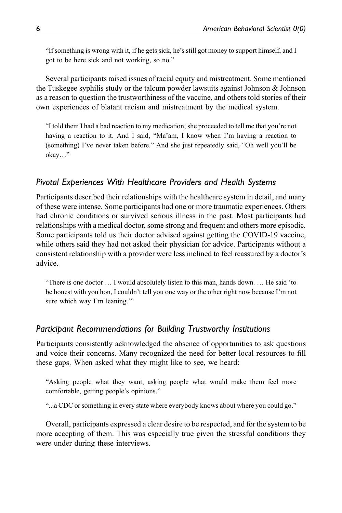"If something is wrong with it, if he gets sick, he's still got money to support himself, and I got to be here sick and not working, so no."

Several participants raised issues of racial equity and mistreatment. Some mentioned the Tuskegee syphilis study or the talcum powder lawsuits against Johnson & Johnson as a reason to question the trustworthiness of the vaccine, and others told stories of their own experiences of blatant racism and mistreatment by the medical system.

"I told them I had a bad reaction to my medication; she proceeded to tell me that you're not having a reaction to it. And I said, "Ma'am, I know when I'm having a reaction to (something) I've never taken before." And she just repeatedly said, "Oh well you'll be okay…"

# Pivotal Experiences With Healthcare Providers and Health Systems

Participants described their relationships with the healthcare system in detail, and many of these were intense. Some participants had one or more traumatic experiences. Others had chronic conditions or survived serious illness in the past. Most participants had relationships with a medical doctor, some strong and frequent and others more episodic. Some participants told us their doctor advised against getting the COVID-19 vaccine, while others said they had not asked their physician for advice. Participants without a consistent relationship with a provider were less inclined to feel reassured by a doctor's advice.

"There is one doctor … I would absolutely listen to this man, hands down. … He said 'to be honest with you hon, I couldn't tell you one way or the other right now because I'm not sure which way I'm leaning."

# Participant Recommendations for Building Trustworthy Institutions

Participants consistently acknowledged the absence of opportunities to ask questions and voice their concerns. Many recognized the need for better local resources to fill these gaps. When asked what they might like to see, we heard:

"Asking people what they want, asking people what would make them feel more comfortable, getting people's opinions."

"...a CDC or something in every state where everybody knows about where you could go."

Overall, participants expressed a clear desire to be respected, and for the system to be more accepting of them. This was especially true given the stressful conditions they were under during these interviews.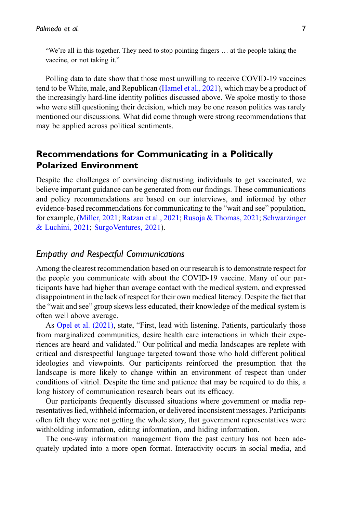"We're all in this together. They need to stop pointing fingers … at the people taking the vaccine, or not taking it."

Polling data to date show that those most unwilling to receive COVID-19 vaccines tend to be White, male, and Republican [\(Hamel et al., 2021\)](#page-11-3), which may be a product of the increasingly hard-line identity politics discussed above. We spoke mostly to those who were still questioning their decision, which may be one reason politics was rarely mentioned our discussions. What did come through were strong recommendations that may be applied across political sentiments.

# Recommendations for Communicating in a Politically Polarized Environment

Despite the challenges of convincing distrusting individuals to get vaccinated, we believe important guidance can be generated from our findings. These communications and policy recommendations are based on our interviews, and informed by other evidence-based recommendations for communicating to the "wait and see" population, for example, [\(Miller, 2021](#page-11-11); [Ratzan et al., 2021;](#page-11-10) [Rusoja & Thomas, 2021](#page-11-4); [Schwarzinger](#page-11-12) [& Luchini, 2021](#page-11-12); [SurgoVentures, 2021](#page-12-2)).

# Empathy and Respectful Communications

Among the clearest recommendation based on our research is to demonstrate respect for the people you communicate with about the COVID-19 vaccine. Many of our participants have had higher than average contact with the medical system, and expressed disappointment in the lack of respect for their own medical literacy. Despite the fact that the "wait and see" group skews less educated, their knowledge of the medical system is often well above average.

As [Opel et al. \(2021\)](#page-11-13), state, "First, lead with listening. Patients, particularly those from marginalized communities, desire health care interactions in which their experiences are heard and validated." Our political and media landscapes are replete with critical and disrespectful language targeted toward those who hold different political ideologies and viewpoints. Our participants reinforced the presumption that the landscape is more likely to change within an environment of respect than under conditions of vitriol. Despite the time and patience that may be required to do this, a long history of communication research bears out its efficacy.

Our participants frequently discussed situations where government or media representatives lied, withheld information, or delivered inconsistent messages. Participants often felt they were not getting the whole story, that government representatives were withholding information, editing information, and hiding information.

The one-way information management from the past century has not been adequately updated into a more open format. Interactivity occurs in social media, and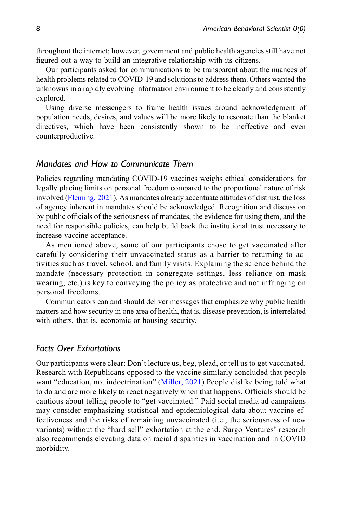throughout the internet; however, government and public health agencies still have not figured out a way to build an integrative relationship with its citizens.

Our participants asked for communications to be transparent about the nuances of health problems related to COVID-19 and solutions to address them. Others wanted the unknowns in a rapidly evolving information environment to be clearly and consistently explored.

Using diverse messengers to frame health issues around acknowledgment of population needs, desires, and values will be more likely to resonate than the blanket directives, which have been consistently shown to be ineffective and even counterproductive.

### Mandates and How to Communicate Them

Policies regarding mandating COVID-19 vaccines weighs ethical considerations for legally placing limits on personal freedom compared to the proportional nature of risk involved ([Fleming, 2021](#page-11-14)). As mandates already accentuate attitudes of distrust, the loss of agency inherent in mandates should be acknowledged. Recognition and discussion by public officials of the seriousness of mandates, the evidence for using them, and the need for responsible policies, can help build back the institutional trust necessary to increase vaccine acceptance.

As mentioned above, some of our participants chose to get vaccinated after carefully considering their unvaccinated status as a barrier to returning to activities such as travel, school, and family visits. Explaining the science behind the mandate (necessary protection in congregate settings, less reliance on mask wearing, etc.) is key to conveying the policy as protective and not infringing on personal freedoms.

Communicators can and should deliver messages that emphasize why public health matters and how security in one area of health, that is, disease prevention, is interrelated with others, that is, economic or housing security.

### Facts Over Exhortations

Our participants were clear: Don't lecture us, beg, plead, or tell us to get vaccinated. Research with Republicans opposed to the vaccine similarly concluded that people want "education, not indoctrination" [\(Miller, 2021\)](#page-11-11) People dislike being told what to do and are more likely to react negatively when that happens. Officials should be cautious about telling people to "get vaccinated." Paid social media ad campaigns may consider emphasizing statistical and epidemiological data about vaccine effectiveness and the risks of remaining unvaccinated (i.e., the seriousness of new variants) without the "hard sell" exhortation at the end. Surgo Ventures' research also recommends elevating data on racial disparities in vaccination and in COVID morbidity.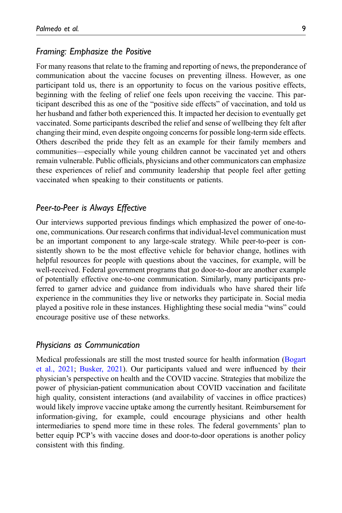### Framing: Emphasize the Positive

For many reasons that relate to the framing and reporting of news, the preponderance of communication about the vaccine focuses on preventing illness. However, as one participant told us, there is an opportunity to focus on the various positive effects, beginning with the feeling of relief one feels upon receiving the vaccine. This participant described this as one of the "positive side effects" of vaccination, and told us her husband and father both experienced this. It impacted her decision to eventually get vaccinated. Some participants described the relief and sense of wellbeing they felt after changing their mind, even despite ongoing concerns for possible long-term side effects. Others described the pride they felt as an example for their family members and communities—especially while young children cannot be vaccinated yet and others remain vulnerable. Public officials, physicians and other communicators can emphasize these experiences of relief and community leadership that people feel after getting vaccinated when speaking to their constituents or patients.

# Peer-to-Peer is Always Effective

Our interviews supported previous findings which emphasized the power of one-toone, communications. Our research confirms that individual-level communication must be an important component to any large-scale strategy. While peer-to-peer is consistently shown to be the most effective vehicle for behavior change, hotlines with helpful resources for people with questions about the vaccines, for example, will be well-received. Federal government programs that go door-to-door are another example of potentially effective one-to-one communication. Similarly, many participants preferred to garner advice and guidance from individuals who have shared their life experience in the communities they live or networks they participate in. Social media played a positive role in these instances. Highlighting these social media "wins" could encourage positive use of these networks.

### Physicians as Communication

Medical professionals are still the most trusted source for health information [\(Bogart](#page-10-2) [et al., 2021](#page-10-2); [Busker, 2021](#page-10-3)). Our participants valued and were influenced by their physician's perspective on health and the COVID vaccine. Strategies that mobilize the power of physician-patient communication about COVID vaccination and facilitate high quality, consistent interactions (and availability of vaccines in office practices) would likely improve vaccine uptake among the currently hesitant. Reimbursement for information-giving, for example, could encourage physicians and other health intermediaries to spend more time in these roles. The federal governments' plan to better equip PCP's with vaccine doses and door-to-door operations is another policy consistent with this finding.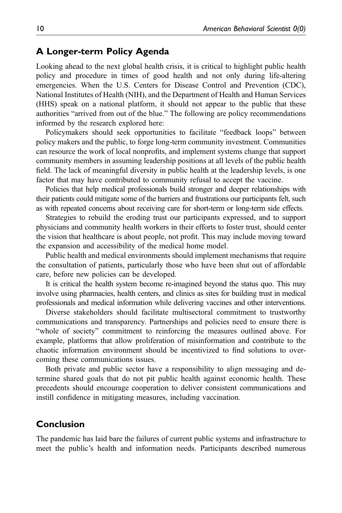### A Longer-term Policy Agenda

Looking ahead to the next global health crisis, it is critical to highlight public health policy and procedure in times of good health and not only during life-altering emergencies. When the U.S. Centers for Disease Control and Prevention (CDC), National Institutes of Health (NIH), and the Department of Health and Human Services (HHS) speak on a national platform, it should not appear to the public that these authorities "arrived from out of the blue." The following are policy recommendations informed by the research explored here:

Policymakers should seek opportunities to facilitate "feedback loops" between policy makers and the public, to forge long-term community investment. Communities can resource the work of local nonprofits, and implement systems change that support community members in assuming leadership positions at all levels of the public health field. The lack of meaningful diversity in public health at the leadership levels, is one factor that may have contributed to community refusal to accept the vaccine.

Policies that help medical professionals build stronger and deeper relationships with their patients could mitigate some of the barriers and frustrations our participants felt, such as with repeated concerns about receiving care for short-term or long-term side effects.

Strategies to rebuild the eroding trust our participants expressed, and to support physicians and community health workers in their efforts to foster trust, should center the vision that healthcare is about people, not profit. This may include moving toward the expansion and accessibility of the medical home model.

Public health and medical environments should implement mechanisms that require the consultation of patients, particularly those who have been shut out of affordable care, before new policies can be developed.

It is critical the health system become re-imagined beyond the status quo. This may involve using pharmacies, health centers, and clinics as sites for building trust in medical professionals and medical information while delivering vaccines and other interventions.

Diverse stakeholders should facilitate multisectoral commitment to trustworthy communications and transparency. Partnerships and policies need to ensure there is "whole of society" commitment to reinforcing the measures outlined above. For example, platforms that allow proliferation of misinformation and contribute to the chaotic information environment should be incentivized to find solutions to overcoming these communications issues.

Both private and public sector have a responsibility to align messaging and determine shared goals that do not pit public health against economic health. These precedents should encourage cooperation to deliver consistent communications and instill confidence in mitigating measures, including vaccination.

# Conclusion

The pandemic has laid bare the failures of current public systems and infrastructure to meet the public's health and information needs. Participants described numerous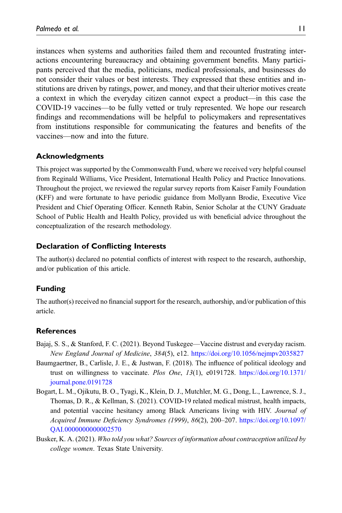instances when systems and authorities failed them and recounted frustrating interactions encountering bureaucracy and obtaining government benefits. Many participants perceived that the media, politicians, medical professionals, and businesses do not consider their values or best interests. They expressed that these entities and institutions are driven by ratings, power, and money, and that their ulterior motives create a context in which the everyday citizen cannot expect a product—in this case the COVID-19 vaccines—to be fully vetted or truly represented. We hope our research findings and recommendations will be helpful to policymakers and representatives from institutions responsible for communicating the features and benefits of the vaccines—now and into the future.

### Acknowledgments

This project was supported by the Commonwealth Fund, where we received very helpful counsel from Reginald Williams, Vice President, International Health Policy and Practice Innovations. Throughout the project, we reviewed the regular survey reports from Kaiser Family Foundation (KFF) and were fortunate to have periodic guidance from Mollyann Brodie, Executive Vice President and Chief Operating Officer. Kenneth Rabin, Senior Scholar at the CUNY Graduate School of Public Health and Health Policy, provided us with beneficial advice throughout the conceptualization of the research methodology.

### Declaration of Conflicting Interests

The author(s) declared no potential conflicts of interest with respect to the research, authorship, and/or publication of this article.

### Funding

The author(s) received no financial support for the research, authorship, and/or publication of this article.

#### <span id="page-10-1"></span>**References**

- <span id="page-10-0"></span>Bajaj, S. S., & Stanford, F. C. (2021). Beyond Tuskegee—Vaccine distrust and everyday racism. New England Journal of Medicine, 384(5), e12. [https://doi.org/10.1056/nejmpv2035827](https://doi.org/10.1056/nejmpv2035827%20https://doi.org/10.1056/nejmpv2035827)
- Baumgaertner, B., Carlisle, J. E., & Justwan, F. (2018). The influence of political ideology and trust on willingness to vaccinate. Plos One,  $13(1)$ , e0191728. [https://doi.org/10.1371/](https://doi.org/10.1371/journal.pone.0191728%20https://doi.org/10.1371/journal.pone.0191728) [journal.pone.0191728](https://doi.org/10.1371/journal.pone.0191728%20https://doi.org/10.1371/journal.pone.0191728)
- <span id="page-10-2"></span>Bogart, L. M., Ojikutu, B. O., Tyagi, K., Klein, D. J., Mutchler, M. G., Dong, L., Lawrence, S. J., Thomas, D. R., & Kellman, S. (2021). COVID-19 related medical mistrust, health impacts, and potential vaccine hesitancy among Black Americans living with HIV. Journal of Acquired Immune Deficiency Syndromes (1999), 86(2), 200–207. [https://doi.org/10.1097/](https://doi.org/10.1097/QAI.0000000000002570%20https://doi.org/10.1097/QAI.0000000000002570) [QAI.0000000000002570](https://doi.org/10.1097/QAI.0000000000002570%20https://doi.org/10.1097/QAI.0000000000002570)
- <span id="page-10-3"></span>Busker, K. A. (2021). Who told you what? Sources of information about contraception utilized by college women. Texas State University.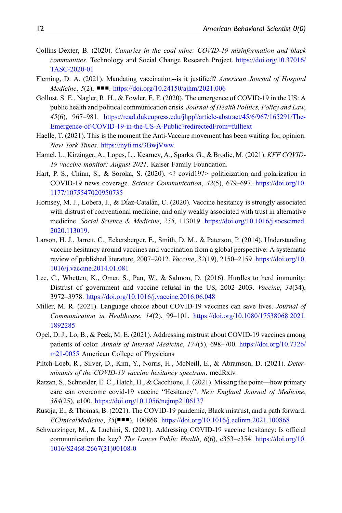- <span id="page-11-6"></span>Collins-Dexter, B. (2020). Canaries in the coal mine: COVID-19 misinformation and black communities. Technology and Social Change Research Project. [https://doi.org/10.37016/](https://doi.org/10.37016/TASC-2020-01) [TASC-2020-01](https://doi.org/10.37016/TASC-2020-01)
- <span id="page-11-14"></span>Fleming, D. A. (2021). Mandating vaccination--is it justified? American Journal of Hospital Medicine, 5(2), ■■■. <https://doi.org/10.24150/ajhm/2021.006>
- <span id="page-11-1"></span>Gollust, S. E., Nagler, R. H., & Fowler, E. F. (2020). The emergence of COVID-19 in the US: A public health and political communication crisis. Journal of Health Politics, Policy and Law, 45(6), 967–981. [https://read.dukeupress.edu/jhppl/article-abstract/45/6/967/165291/The-](https://read.dukeupress.edu/jhppl/article-abstract/45/6/967/165291/The-Emergence-of-COVID-19-in-the-US-A-Public?redirectedFrom=fulltext)[Emergence-of-COVID-19-in-the-US-A-Public?redirectedFrom=fulltext](https://read.dukeupress.edu/jhppl/article-abstract/45/6/967/165291/The-Emergence-of-COVID-19-in-the-US-A-Public?redirectedFrom=fulltext)
- <span id="page-11-0"></span>Haelle, T. (2021). This is the moment the Anti-Vaccine movement has been waiting for, opinion. New York Times. [https://nyti.ms/3BwjVww.](https://nyti.ms/3BwjVww)
- <span id="page-11-3"></span>Hamel, L., Kirzinger, A., Lopes, L., Kearney, A., Sparks, G., & Brodie, M. (2021). KFF COVID-19 vaccine monitor: August 2021. Kaiser Family Foundation.
- <span id="page-11-2"></span>Hart, P. S., Chinn, S., & Soroka, S. (2020). <? covid19?> politicization and polarization in COVID-19 news coverage. Science Communication, 42(5), 679–697. [https://doi.org/10.](https://doi.org/10.1177/1075547020950735%20https://doi.org/10.1177/1075547020950735) [1177/1075547020950735](https://doi.org/10.1177/1075547020950735%20https://doi.org/10.1177/1075547020950735)
- <span id="page-11-7"></span>Hornsey, M. J., Lobera, J., & Díaz-Catalán, C. (2020). Vaccine hesitancy is strongly associated with distrust of conventional medicine, and only weakly associated with trust in alternative medicine. Social Science & Medicine, 255, 113019. [https://doi.org/10.1016/j.socscimed.](https://doi.org/10.1016/j.socscimed.2020.113019%20https://doi.org/10.1016/j.socscimed.2020.113019) [2020.113019](https://doi.org/10.1016/j.socscimed.2020.113019%20https://doi.org/10.1016/j.socscimed.2020.113019).
- <span id="page-11-8"></span>Larson, H. J., Jarrett, C., Eckersberger, E., Smith, D. M., & Paterson, P. (2014). Understanding vaccine hesitancy around vaccines and vaccination from a global perspective: A systematic review of published literature, 2007–2012. Vaccine, 32(19), 2150–2159. [https://doi.org/10.](https://doi.org/10.1016/j.vaccine.2014.01.081%20https://doi.org/10.1016/j.vaccine.2014.01.081) [1016/j.vaccine.2014.01.081](https://doi.org/10.1016/j.vaccine.2014.01.081%20https://doi.org/10.1016/j.vaccine.2014.01.081)
- <span id="page-11-9"></span>Lee, C., Whetten, K., Omer, S., Pan, W., & Salmon, D. (2016). Hurdles to herd immunity: Distrust of government and vaccine refusal in the US, 2002–2003. Vaccine, 34(34), 3972–3978. [https://doi.org/10.1016/j.vaccine.2016.06.048](https://doi.org/10.1016/j.vaccine.2016.06.048%20https://doi.org/10.1016/j.vaccine.2016.06.048)
- <span id="page-11-11"></span>Miller, M. R. (2021). Language choice about COVID-19 vaccines can save lives. Journal of Communication in Healthcare, 14(2), 99–101. [https://doi.org/10.1080/17538068.2021.](https://doi.org/10.1080/17538068.2021.1892285%20https://doi.org/10.1080/17538068.2021.1892285) [1892285](https://doi.org/10.1080/17538068.2021.1892285%20https://doi.org/10.1080/17538068.2021.1892285)
- <span id="page-11-13"></span>Opel, D. J., Lo, B., & Peek, M. E. (2021). Addressing mistrust about COVID-19 vaccines among patients of color. Annals of Internal Medicine, 174(5), 698-700. [https://doi.org/10.7326/](https://doi.org/10.7326/m21-0055%20https://doi.org/10.7326/m21-0055) [m21-0055](https://doi.org/10.7326/m21-0055%20https://doi.org/10.7326/m21-0055) American College of Physicians
- <span id="page-11-5"></span>Piltch-Loeb, R., Silver, D., Kim, Y., Norris, H., McNeill, E., & Abramson, D. (2021). Determinants of the COVID-19 vaccine hesitancy spectrum. medRxiv.
- <span id="page-11-10"></span>Ratzan, S., Schneider, E. C., Hatch, H., & Cacchione, J. (2021). Missing the point—how primary care can overcome covid-19 vaccine "Hesitancy". New England Journal of Medicine, 384(25), e100. <https://doi.org/10.1056/nejmp2106137>
- <span id="page-11-4"></span>Rusoja, E., & Thomas, B. (2021). The COVID-19 pandemic, Black mistrust, and a path forward. EClinicalMedicine, 35(■■■), 100868. [https://doi.org/10.1016/j.eclinm.2021.100868](https://doi.org/10.1016/j.eclinm.2021.100868%20https://doi.org/10.1016/j.eclinm.2021.100868)
- <span id="page-11-12"></span>Schwarzinger, M., & Luchini, S. (2021). Addressing COVID-19 vaccine hesitancy: Is official communication the key? The Lancet Public Health, 6(6), e353–e354. [https://doi.org/10.](https://doi.org/10.1016/S2468-2667(21)00108-0%20https://doi.org/10.1016/S2468-2667(21)00108-0) [1016/S2468-2667\(21\)00108-0](https://doi.org/10.1016/S2468-2667(21)00108-0%20https://doi.org/10.1016/S2468-2667(21)00108-0)